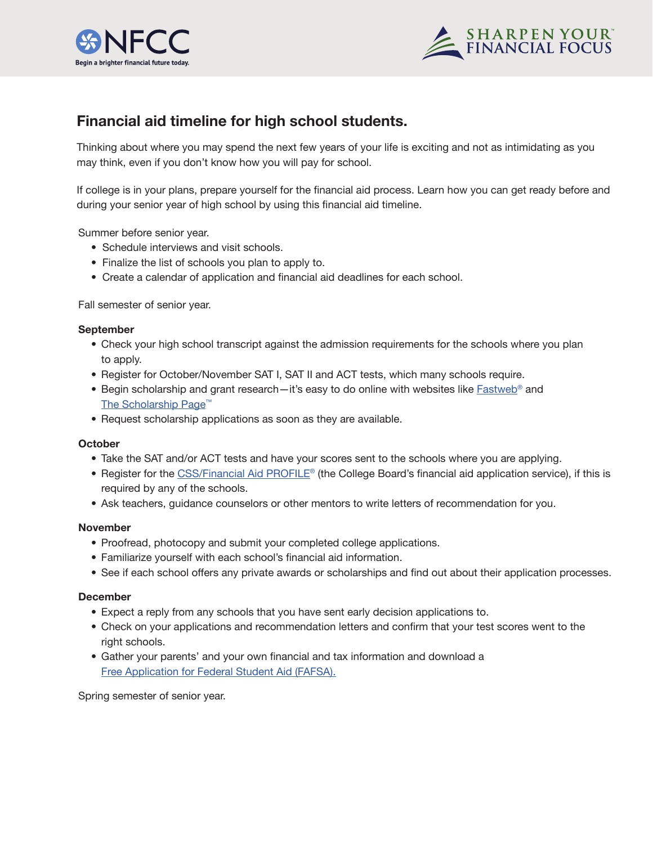



# **Financial aid timeline for high school students.**

Thinking about where you may spend the next few years of your life is exciting and not as intimidating as you may think, even if you don't know how you will pay for school.

If college is in your plans, prepare yourself for the financial aid process. Learn how you can get ready before and during your senior year of high school by using this financial aid timeline.

Summer before senior year.

- Schedule interviews and visit schools.
- Finalize the list of schools you plan to apply to.
- Create a calendar of application and financial aid deadlines for each school.

Fall semester of senior year.

# **September**

- Check your high school transcript against the admission requirements for the schools where you plan to apply.
- Register for October/November SAT I, SAT II and ACT tests, which many schools require.
- Begin scholarship and grant research—it's easy to do online with websites like  $Fastweb^{\circ}$  and The Scholarship Page<sup>™</sup>
- Request scholarship applications as soon as they are available.

# **October**

- Take the SAT and/or ACT tests and have your scores sent to the schools where you are applying.
- Register for the [CSS/Financial Aid PROFILE](https://student.collegeboard.org/css-financial-aid-profile)® (the College Board's financial aid application service), if this is required by any of the schools.
- Ask teachers, guidance counselors or other mentors to write letters of recommendation for you.

# **November**

- Proofread, photocopy and submit your completed college applications.
- Familiarize yourself with each school's financial aid information.
- See if each school offers any private awards or scholarships and find out about their application processes.

# **December**

- Expect a reply from any schools that you have sent early decision applications to.
- Check on your applications and recommendation letters and confirm that your test scores went to the right schools.
- Gather your parents' and your own financial and tax information and download a [Free Application for Federal Student Aid \(FAFSA\).](https://fafsa.ed.gov/)

Spring semester of senior year.